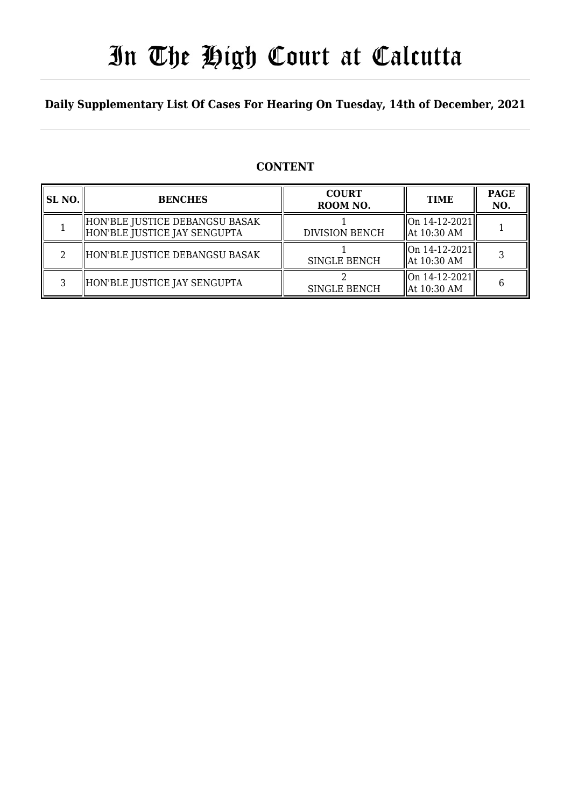# In The High Court at Calcutta

### **Daily Supplementary List Of Cases For Hearing On Tuesday, 14th of December, 2021**

### **CONTENT**

| SL NO. | <b>BENCHES</b>                                                 | <b>COURT</b><br>ROOM NO. | <b>TIME</b>                                         | <b>PAGE</b><br>NO. |
|--------|----------------------------------------------------------------|--------------------------|-----------------------------------------------------|--------------------|
|        | HON'BLE JUSTICE DEBANGSU BASAK<br>HON'BLE JUSTICE JAY SENGUPTA | <b>DIVISION BENCH</b>    | $\vert$ On 14-12-2021 $\vert\vert$<br>  At 10:30 AM |                    |
| റ      | HON'BLE JUSTICE DEBANGSU BASAK                                 | <b>SINGLE BENCH</b>      | On 14-12-2021  <br>  At 10:30 AM                    |                    |
| ς      | HON'BLE JUSTICE JAY SENGUPTA                                   | <b>SINGLE BENCH</b>      | $\ $ On 14-12-2021 $\ $<br>  At 10:30 AM            |                    |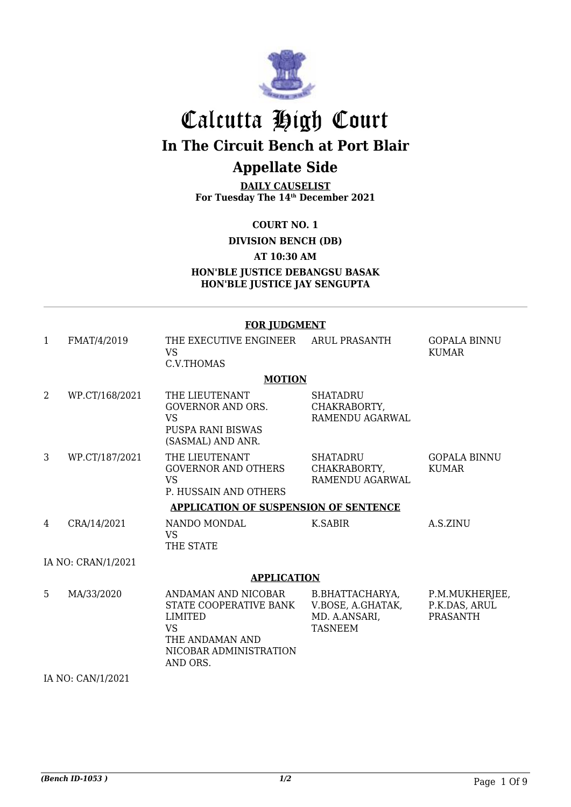

## Calcutta High Court **In The Circuit Bench at Port Blair**

## **Appellate Side**

**DAILY CAUSELIST For Tuesday The 14th December 2021**

**COURT NO. 1**

**DIVISION BENCH (DB)**

**AT 10:30 AM**

**HON'BLE JUSTICE DEBANGSU BASAK HON'BLE JUSTICE JAY SENGUPTA**

#### **FOR JUDGMENT**

| $\mathbf{1}$ | FMAT/4/2019         | THE EXECUTIVE ENGINEER ARUL PRASANTH<br><b>VS</b><br>C.V.THOMAS                                                                |                                                                         | <b>GOPALA BINNU</b><br><b>KUMAR</b>                |
|--------------|---------------------|--------------------------------------------------------------------------------------------------------------------------------|-------------------------------------------------------------------------|----------------------------------------------------|
|              |                     | <b>MOTION</b>                                                                                                                  |                                                                         |                                                    |
| 2            | WP.CT/168/2021      | THE LIEUTENANT<br><b>GOVERNOR AND ORS.</b><br><b>VS</b><br><b>PUSPA RANI BISWAS</b><br>(SASMAL) AND ANR.                       | <b>SHATADRU</b><br>CHAKRABORTY,<br>RAMENDU AGARWAL                      |                                                    |
| 3            | WP.CT/187/2021      | THE LIEUTENANT<br><b>GOVERNOR AND OTHERS</b><br><b>VS</b><br>P. HUSSAIN AND OTHERS                                             | <b>SHATADRU</b><br>CHAKRABORTY,<br>RAMENDU AGARWAL                      | <b>GOPALA BINNU</b><br><b>KUMAR</b>                |
|              |                     | <b>APPLICATION OF SUSPENSION OF SENTENCE</b>                                                                                   |                                                                         |                                                    |
| 4            | CRA/14/2021         | NANDO MONDAL<br><b>VS</b><br>THE STATE                                                                                         | <b>K.SABIR</b>                                                          | A.S.ZINU                                           |
|              | IA NO: CRAN/1/2021  |                                                                                                                                |                                                                         |                                                    |
|              |                     | <b>APPLICATION</b>                                                                                                             |                                                                         |                                                    |
| 5            | MA/33/2020          | ANDAMAN AND NICOBAR<br>STATE COOPERATIVE BANK<br>LIMITED<br><b>VS</b><br>THE ANDAMAN AND<br>NICOBAR ADMINISTRATION<br>AND ORS. | B.BHATTACHARYA,<br>V.BOSE, A.GHATAK,<br>MD. A.ANSARI,<br><b>TASNEEM</b> | P.M.MUKHERJEE,<br>P.K.DAS, ARUL<br><b>PRASANTH</b> |
|              | TA NTO CANTIA IOOOA |                                                                                                                                |                                                                         |                                                    |

IA NO: CAN/1/2021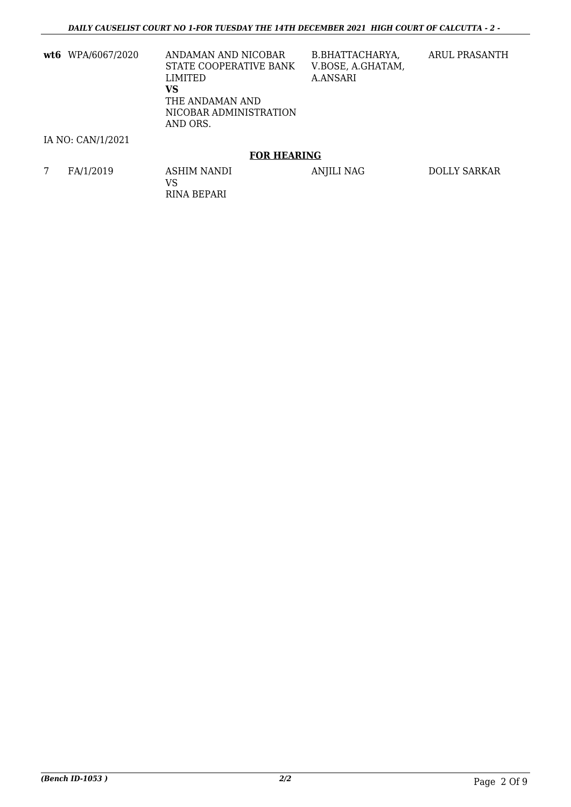**wt6** WPA/6067/2020 ANDAMAN AND NICOBAR STATE COOPERATIVE BANK LIMITED **VS** THE ANDAMAN AND NICOBAR ADMINISTRATION AND ORS.

B.BHATTACHARYA, V.BOSE, A.GHATAM, A.ANSARI

ARUL PRASANTH

#### IA NO: CAN/1/2021

#### **FOR HEARING**

7 FA/1/2019 ASHIM NANDI VS RINA BEPARI ANJILI NAG DOLLY SARKAR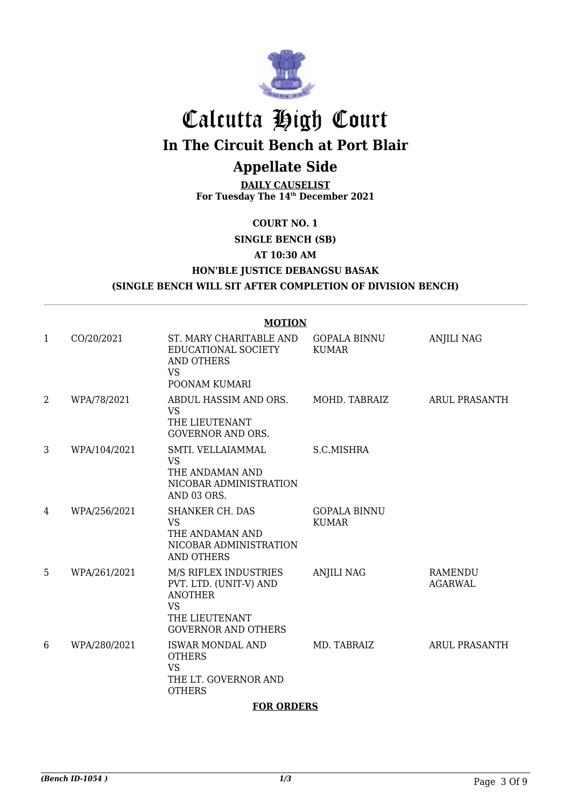

# Calcutta High Court

**In The Circuit Bench at Port Blair**

### **Appellate Side**

**DAILY CAUSELIST For Tuesday The 14th December 2021**

#### **COURT NO. 1**

**SINGLE BENCH (SB)**

#### **AT 10:30 AM**

**HON'BLE JUSTICE DEBANGSU BASAK**

#### **(SINGLE BENCH WILL SIT AFTER COMPLETION OF DIVISION BENCH)**

#### **MOTION** 1 CO/20/2021 ST. MARY CHARITABLE AND EDUCATIONAL SOCIETY AND OTHERS VS POONAM KUMARI GOPALA BINNU KUMAR ANJILI NAG 2 WPA/78/2021 ABDUL HASSIM AND ORS. VS THE LIEUTENANT GOVERNOR AND ORS. MOHD. TABRAIZ ARUL PRASANTH 3 WPA/104/2021 SMTI. VELLAIAMMAL VS THE ANDAMAN AND NICOBAR ADMINISTRATION AND 03 ORS. S.C.MISHRA 4 WPA/256/2021 SHANKER CH. DAS VS THE ANDAMAN AND NICOBAR ADMINISTRATION AND OTHERS GOPALA BINNU KUMAR 5 WPA/261/2021 M/S RIFLEX INDUSTRIES PVT. LTD. (UNIT-V) AND ANOTHER VS THE LIEUTENANT GOVERNOR AND OTHERS ANJILI NAG RAMENDU AGARWAL 6 WPA/280/2021 ISWAR MONDAL AND **OTHERS** VS THE LT. GOVERNOR AND **OTHERS** MD. TABRAIZ ARUL PRASANTH

#### **FOR ORDERS**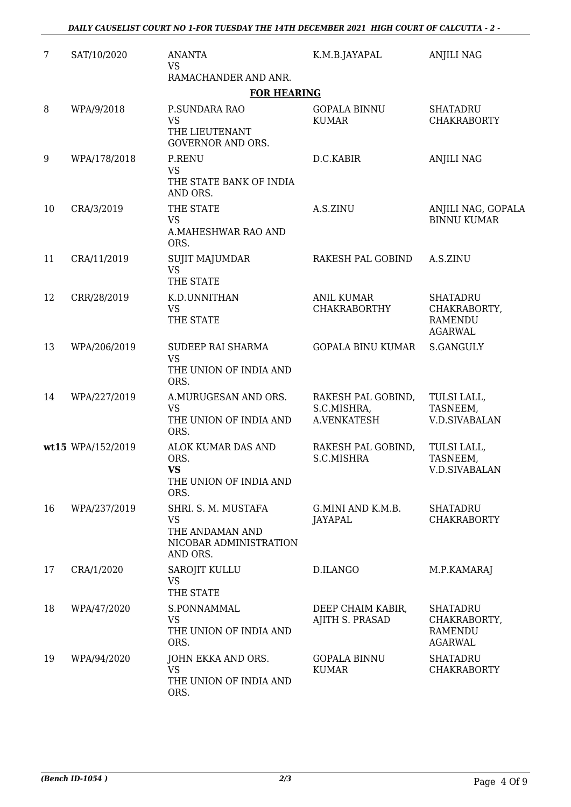| $\overline{7}$ | SAT/10/2020       | <b>ANANTA</b><br><b>VS</b><br>RAMACHANDER AND ANR.                                        | K.M.B.JAYAPAL                                    | <b>ANJILI NAG</b>                                                   |
|----------------|-------------------|-------------------------------------------------------------------------------------------|--------------------------------------------------|---------------------------------------------------------------------|
|                |                   | <b>FOR HEARING</b>                                                                        |                                                  |                                                                     |
| 8              | WPA/9/2018        | P.SUNDARA RAO<br><b>VS</b><br>THE LIEUTENANT<br><b>GOVERNOR AND ORS.</b>                  | <b>GOPALA BINNU</b><br><b>KUMAR</b>              | <b>SHATADRU</b><br><b>CHAKRABORTY</b>                               |
| 9              | WPA/178/2018      | <b>P.RENU</b><br><b>VS</b><br>THE STATE BANK OF INDIA<br>AND ORS.                         | D.C.KABIR                                        | <b>ANJILI NAG</b>                                                   |
| 10             | CRA/3/2019        | THE STATE<br><b>VS</b><br>A.MAHESHWAR RAO AND<br>ORS.                                     | A.S.ZINU                                         | ANJILI NAG, GOPALA<br><b>BINNU KUMAR</b>                            |
| 11             | CRA/11/2019       | <b>SUJIT MAJUMDAR</b><br><b>VS</b><br>THE STATE                                           | RAKESH PAL GOBIND                                | A.S.ZINU                                                            |
| 12             | CRR/28/2019       | K.D.UNNITHAN<br><b>VS</b><br>THE STATE                                                    | <b>ANIL KUMAR</b><br><b>CHAKRABORTHY</b>         | <b>SHATADRU</b><br>CHAKRABORTY,<br><b>RAMENDU</b><br><b>AGARWAL</b> |
| 13             | WPA/206/2019      | SUDEEP RAI SHARMA<br><b>VS</b><br>THE UNION OF INDIA AND<br>ORS.                          | GOPALA BINU KUMAR                                | <b>S.GANGULY</b>                                                    |
| 14             | WPA/227/2019      | A.MURUGESAN AND ORS.<br><b>VS</b><br>THE UNION OF INDIA AND<br>ORS.                       | RAKESH PAL GOBIND,<br>S.C.MISHRA,<br>A.VENKATESH | TULSI LALL,<br>TASNEEM,<br><b>V.D.SIVABALAN</b>                     |
|                | wt15 WPA/152/2019 | ALOK KUMAR DAS AND<br>ORS.<br><b>VS</b><br>THE UNION OF INDIA AND<br>ORS.                 | RAKESH PAL GOBIND,<br>S.C.MISHRA                 | TULSI LALL,<br>TASNEEM,<br>V.D.SIVABALAN                            |
| 16             | WPA/237/2019      | SHRI. S. M. MUSTAFA<br><b>VS</b><br>THE ANDAMAN AND<br>NICOBAR ADMINISTRATION<br>AND ORS. | G.MINI AND K.M.B.<br>JAYAPAL                     | <b>SHATADRU</b><br><b>CHAKRABORTY</b>                               |
| 17             | CRA/1/2020        | SAROJIT KULLU<br><b>VS</b><br>THE STATE                                                   | D.ILANGO                                         | M.P.KAMARAJ                                                         |
| 18             | WPA/47/2020       | S.PONNAMMAL<br><b>VS</b><br>THE UNION OF INDIA AND<br>ORS.                                | DEEP CHAIM KABIR,<br>AJITH S. PRASAD             | <b>SHATADRU</b><br>CHAKRABORTY,<br><b>RAMENDU</b><br><b>AGARWAL</b> |
| 19             | WPA/94/2020       | JOHN EKKA AND ORS.<br><b>VS</b><br>THE UNION OF INDIA AND<br>ORS.                         | <b>GOPALA BINNU</b><br><b>KUMAR</b>              | <b>SHATADRU</b><br><b>CHAKRABORTY</b>                               |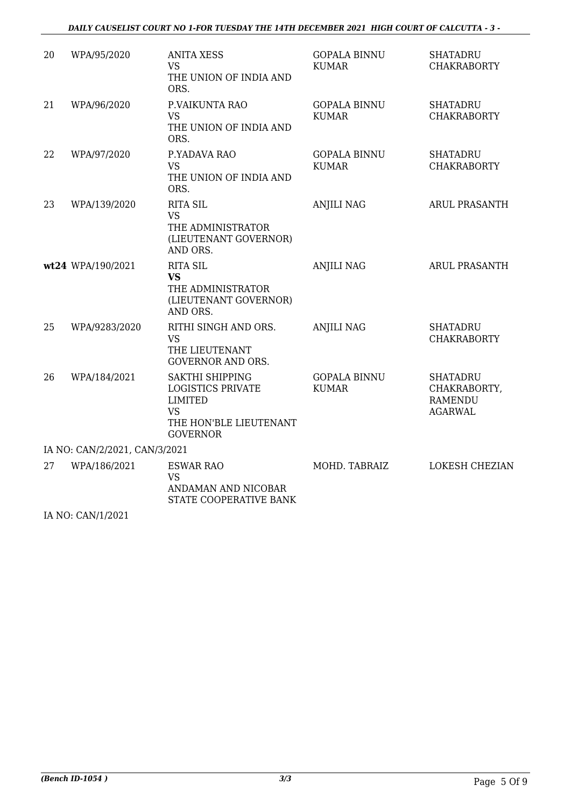#### *DAILY CAUSELIST COURT NO 1-FOR TUESDAY THE 14TH DECEMBER 2021 HIGH COURT OF CALCUTTA - 3 -*

| 20                            | WPA/95/2020       | <b>ANITA XESS</b><br><b>VS</b><br>THE UNION OF INDIA AND<br>ORS.                                                               | <b>GOPALA BINNU</b><br><b>KUMAR</b> | <b>SHATADRU</b><br><b>CHAKRABORTY</b>                               |  |
|-------------------------------|-------------------|--------------------------------------------------------------------------------------------------------------------------------|-------------------------------------|---------------------------------------------------------------------|--|
| 21                            | WPA/96/2020       | P.VAIKUNTA RAO<br><b>VS</b><br>THE UNION OF INDIA AND<br>ORS.                                                                  | <b>GOPALA BINNU</b><br><b>KUMAR</b> | <b>SHATADRU</b><br><b>CHAKRABORTY</b>                               |  |
| 22                            | WPA/97/2020       | P.YADAVA RAO<br><b>VS</b><br>THE UNION OF INDIA AND<br>ORS.                                                                    | <b>GOPALA BINNU</b><br><b>KUMAR</b> | <b>SHATADRU</b><br><b>CHAKRABORTY</b>                               |  |
| 23                            | WPA/139/2020      | <b>RITA SIL</b><br><b>VS</b><br>THE ADMINISTRATOR<br>(LIEUTENANT GOVERNOR)<br>AND ORS.                                         | <b>ANJILI NAG</b>                   | <b>ARUL PRASANTH</b>                                                |  |
|                               | wt24 WPA/190/2021 | <b>RITA SIL</b><br><b>VS</b><br>THE ADMINISTRATOR<br>(LIEUTENANT GOVERNOR)<br>AND ORS.                                         | <b>ANJILI NAG</b>                   | <b>ARUL PRASANTH</b>                                                |  |
| 25                            | WPA/9283/2020     | RITHI SINGH AND ORS.<br><b>VS</b><br>THE LIEUTENANT<br><b>GOVERNOR AND ORS.</b>                                                | <b>ANJILI NAG</b>                   | <b>SHATADRU</b><br><b>CHAKRABORTY</b>                               |  |
| 26                            | WPA/184/2021      | <b>SAKTHI SHIPPING</b><br><b>LOGISTICS PRIVATE</b><br><b>LIMITED</b><br><b>VS</b><br>THE HON'BLE LIEUTENANT<br><b>GOVERNOR</b> | <b>GOPALA BINNU</b><br><b>KUMAR</b> | <b>SHATADRU</b><br>CHAKRABORTY,<br><b>RAMENDU</b><br><b>AGARWAL</b> |  |
| IA NO: CAN/2/2021, CAN/3/2021 |                   |                                                                                                                                |                                     |                                                                     |  |
| 27                            | WPA/186/2021      | <b>ESWAR RAO</b><br><b>VS</b><br>ANDAMAN AND NICOBAR<br>STATE COOPERATIVE BANK                                                 | MOHD. TABRAIZ                       | <b>LOKESH CHEZIAN</b>                                               |  |

IA NO: CAN/1/2021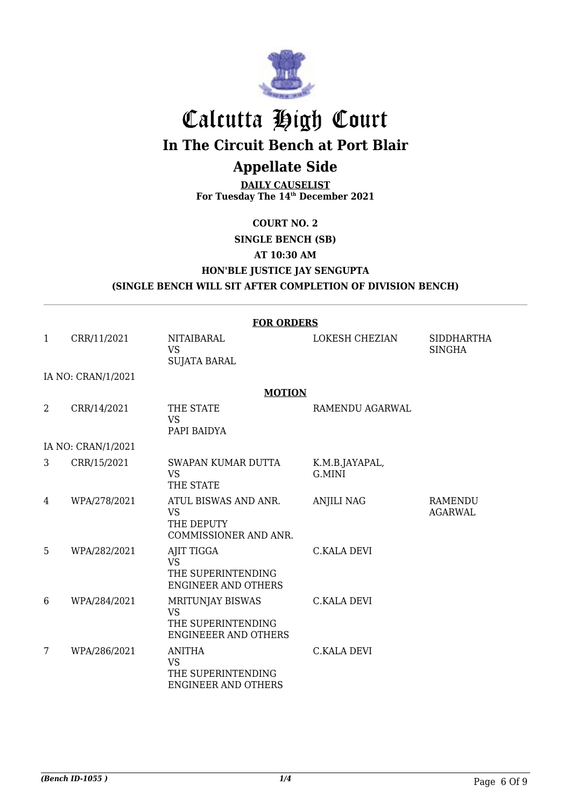

## Calcutta High Court **In The Circuit Bench at Port Blair**

## **Appellate Side**

**DAILY CAUSELIST For Tuesday The 14th December 2021**

#### **COURT NO. 2**

#### **SINGLE BENCH (SB)**

**AT 10:30 AM**

**HON'BLE JUSTICE JAY SENGUPTA**

**(SINGLE BENCH WILL SIT AFTER COMPLETION OF DIVISION BENCH)**

|   | <b>FOR ORDERS</b>  |                                                                                    |                          |                                    |  |  |
|---|--------------------|------------------------------------------------------------------------------------|--------------------------|------------------------------------|--|--|
| 1 | CRR/11/2021        | NITAIBARAL<br><b>VS</b><br><b>SUJATA BARAL</b>                                     | <b>LOKESH CHEZIAN</b>    | <b>SIDDHARTHA</b><br><b>SINGHA</b> |  |  |
|   | IA NO: CRAN/1/2021 |                                                                                    |                          |                                    |  |  |
|   |                    | <b>MOTION</b>                                                                      |                          |                                    |  |  |
| 2 | CRR/14/2021        | THE STATE<br><b>VS</b><br>PAPI BAIDYA                                              | RAMENDU AGARWAL          |                                    |  |  |
|   | IA NO: CRAN/1/2021 |                                                                                    |                          |                                    |  |  |
| 3 | CRR/15/2021        | SWAPAN KUMAR DUTTA<br><b>VS</b><br>THE STATE                                       | K.M.B.JAYAPAL,<br>G.MINI |                                    |  |  |
| 4 | WPA/278/2021       | ATUL BISWAS AND ANR.<br><b>VS</b><br>THE DEPUTY<br>COMMISSIONER AND ANR.           | <b>ANJILI NAG</b>        | RAMENDU<br><b>AGARWAL</b>          |  |  |
| 5 | WPA/282/2021       | AJIT TIGGA<br><b>VS</b><br>THE SUPERINTENDING<br><b>ENGINEER AND OTHERS</b>        | <b>C.KALA DEVI</b>       |                                    |  |  |
| 6 | WPA/284/2021       | MRITUNJAY BISWAS<br><b>VS</b><br>THE SUPERINTENDING<br><b>ENGINEEER AND OTHERS</b> | <b>C.KALA DEVI</b>       |                                    |  |  |
| 7 | WPA/286/2021       | <b>ANITHA</b><br><b>VS</b><br>THE SUPERINTENDING<br>ENGINEER AND OTHERS            | <b>C.KALA DEVI</b>       |                                    |  |  |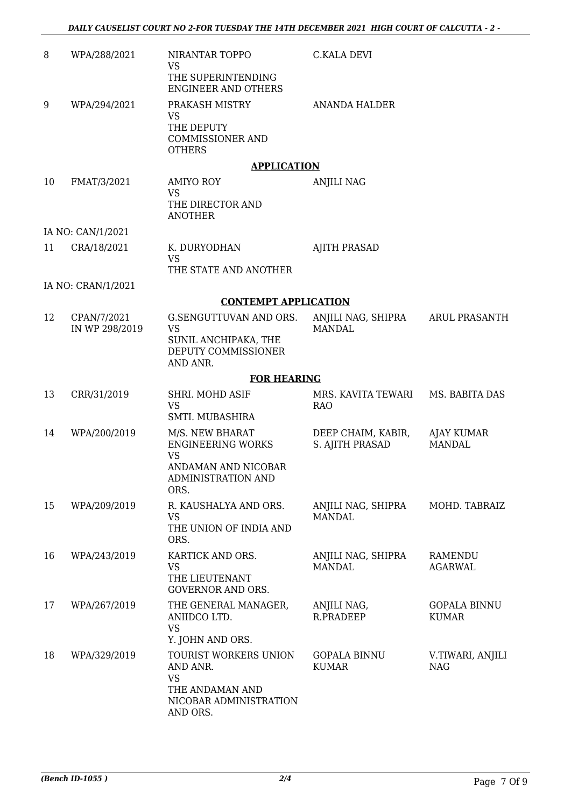| 8  | WPA/288/2021                  | NIRANTAR TOPPO<br><b>VS</b><br>THE SUPERINTENDING<br><b>ENGINEER AND OTHERS</b>                                      | C.KALA DEVI                           |                                     |
|----|-------------------------------|----------------------------------------------------------------------------------------------------------------------|---------------------------------------|-------------------------------------|
| 9  | WPA/294/2021                  | PRAKASH MISTRY<br><b>VS</b><br>THE DEPUTY<br><b>COMMISSIONER AND</b><br><b>OTHERS</b>                                | ANANDA HALDER                         |                                     |
|    |                               | <b>APPLICATION</b>                                                                                                   |                                       |                                     |
| 10 | FMAT/3/2021                   | <b>AMIYO ROY</b><br><b>VS</b><br>THE DIRECTOR AND<br><b>ANOTHER</b>                                                  | ANJILI NAG                            |                                     |
|    | IA NO: CAN/1/2021             |                                                                                                                      |                                       |                                     |
| 11 | CRA/18/2021                   | K. DURYODHAN<br><b>VS</b><br>THE STATE AND ANOTHER                                                                   | <b>AJITH PRASAD</b>                   |                                     |
|    | IA NO: CRAN/1/2021            |                                                                                                                      |                                       |                                     |
|    |                               | <b>CONTEMPT APPLICATION</b>                                                                                          |                                       |                                     |
| 12 | CPAN/7/2021<br>IN WP 298/2019 | G.SENGUTTUVAN AND ORS.<br><b>VS</b><br>SUNIL ANCHIPAKA, THE<br>DEPUTY COMMISSIONER<br>AND ANR.                       | ANJILI NAG, SHIPRA<br><b>MANDAL</b>   | ARUL PRASANTH                       |
|    |                               | <b>FOR HEARING</b>                                                                                                   |                                       |                                     |
| 13 | CRR/31/2019                   | SHRI. MOHD ASIF<br><b>VS</b><br>SMTI. MUBASHIRA                                                                      | MRS. KAVITA TEWARI<br><b>RAO</b>      | MS. BABITA DAS                      |
| 14 | WPA/200/2019                  | M/S. NEW BHARAT<br><b>ENGINEERING WORKS</b><br><b>VS</b><br>ANDAMAN AND NICOBAR<br><b>ADMINISTRATION AND</b><br>ORS. | DEEP CHAIM, KABIR,<br>S. AJITH PRASAD | AJAY KUMAR<br><b>MANDAL</b>         |
| 15 | WPA/209/2019                  | R. KAUSHALYA AND ORS.<br><b>VS</b><br>THE UNION OF INDIA AND<br>ORS.                                                 | ANJILI NAG, SHIPRA<br><b>MANDAL</b>   | MOHD. TABRAIZ                       |
| 16 | WPA/243/2019                  | KARTICK AND ORS.<br><b>VS</b><br>THE LIEUTENANT<br><b>GOVERNOR AND ORS.</b>                                          | ANJILI NAG, SHIPRA<br><b>MANDAL</b>   | RAMENDU<br><b>AGARWAL</b>           |
| 17 | WPA/267/2019                  | THE GENERAL MANAGER,<br>ANIIDCO LTD.<br><b>VS</b><br>Y. JOHN AND ORS.                                                | ANJILI NAG,<br>R.PRADEEP              | <b>GOPALA BINNU</b><br><b>KUMAR</b> |
| 18 | WPA/329/2019                  | TOURIST WORKERS UNION<br>AND ANR.<br><b>VS</b><br>THE ANDAMAN AND<br>NICOBAR ADMINISTRATION<br>AND ORS.              | <b>GOPALA BINNU</b><br><b>KUMAR</b>   | V.TIWARI, ANJILI<br><b>NAG</b>      |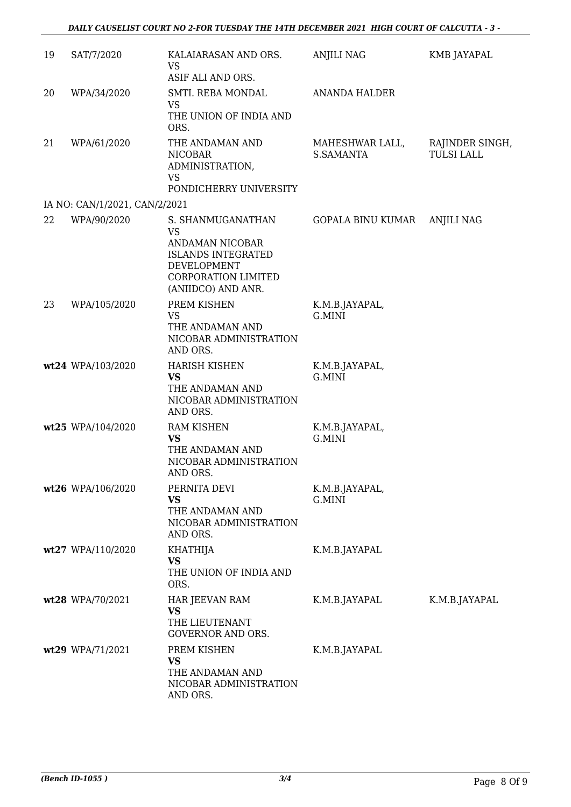| 19 | SAT/7/2020                    | KALAIARASAN AND ORS.<br><b>VS</b>                                                                                            | <b>ANJILI NAG</b>            | KMB JAYAPAL                          |
|----|-------------------------------|------------------------------------------------------------------------------------------------------------------------------|------------------------------|--------------------------------------|
| 20 | WPA/34/2020                   | ASIF ALI AND ORS.<br>SMTI. REBA MONDAL<br><b>VS</b><br>THE UNION OF INDIA AND<br>ORS.                                        | <b>ANANDA HALDER</b>         |                                      |
| 21 | WPA/61/2020                   | THE ANDAMAN AND<br><b>NICOBAR</b><br>ADMINISTRATION,<br><b>VS</b>                                                            | MAHESHWAR LALL,<br>S.SAMANTA | RAJINDER SINGH,<br><b>TULSI LALL</b> |
|    | IA NO: CAN/1/2021, CAN/2/2021 | PONDICHERRY UNIVERSITY                                                                                                       |                              |                                      |
| 22 | WPA/90/2020                   | S. SHANMUGANATHAN                                                                                                            | GOPALA BINU KUMAR            | <b>ANJILI NAG</b>                    |
|    |                               | <b>VS</b><br>ANDAMAN NICOBAR<br><b>ISLANDS INTEGRATED</b><br><b>DEVELOPMENT</b><br>CORPORATION LIMITED<br>(ANIIDCO) AND ANR. |                              |                                      |
| 23 | WPA/105/2020                  | PREM KISHEN<br><b>VS</b><br>THE ANDAMAN AND<br>NICOBAR ADMINISTRATION<br>AND ORS.                                            | K.M.B.JAYAPAL,<br>G.MINI     |                                      |
|    | wt24 WPA/103/2020             | <b>HARISH KISHEN</b><br><b>VS</b><br>THE ANDAMAN AND<br>NICOBAR ADMINISTRATION<br>AND ORS.                                   | K.M.B.JAYAPAL,<br>G.MINI     |                                      |
|    | wt25 WPA/104/2020             | RAM KISHEN<br><b>VS</b><br>THE ANDAMAN AND<br>NICOBAR ADMINISTRATION<br>AND ORS.                                             | K.M.B.JAYAPAL,<br>G.MINI     |                                      |
|    | wt26 WPA/106/2020             | PERNITA DEVI<br><b>VS</b><br>THE ANDAMAN AND<br>NICOBAR ADMINISTRATION<br>AND ORS.                                           | K.M.B.JAYAPAL,<br>G.MINI     |                                      |
|    | wt27 WPA/110/2020             | <b>KHATHIJA</b><br><b>VS</b><br>THE UNION OF INDIA AND<br>ORS.                                                               | K.M.B.JAYAPAL                |                                      |
|    | wt28 WPA/70/2021              | HAR JEEVAN RAM<br><b>VS</b><br>THE LIEUTENANT<br><b>GOVERNOR AND ORS.</b>                                                    | K.M.B.JAYAPAL                | K.M.B.JAYAPAL                        |
|    | wt29 WPA/71/2021              | PREM KISHEN<br><b>VS</b><br>THE ANDAMAN AND<br>NICOBAR ADMINISTRATION<br>AND ORS.                                            | K.M.B.JAYAPAL                |                                      |